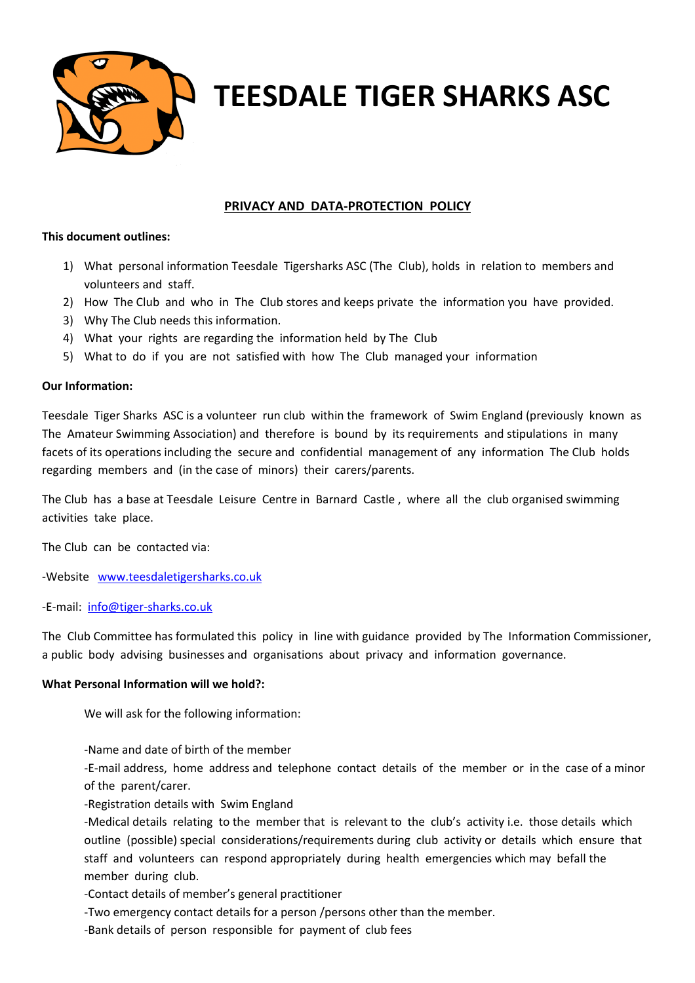

**TEESDALE TIGER SHARKS ASC**

### **PRIVACY AND DATA-PROTECTION POLICY**

#### **This document outlines:**

- 1) What personal information Teesdale Tigersharks ASC (The Club), holds in relation to members and volunteers and staff.
- 2) How The Club and who in The Club stores and keeps private the information you have provided.
- 3) Why The Club needs this information.
- 4) What your rights are regarding the information held by The Club
- 5) What to do if you are not satisfied with how The Club managed your information

#### **Our Information:**

Teesdale Tiger Sharks ASC is a volunteer run club within the framework of Swim England (previously known as The Amateur Swimming Association) and therefore is bound by its requirements and stipulations in many facets of its operations including the secure and confidential management of any information The Club holds regarding members and (in the case of minors) their carers/parents.

The Club has a base at Teesdale Leisure Centre in Barnard Castle , where all the club organised swimming activities take place.

The Club can be contacted via:

-Website www.teesdaletigersharks.co.uk

-E-mail: info@tiger-sharks.co.uk

The Club Committee has formulated this policy in line with guidance provided by The Information Commissioner, a public body advising businesses and organisations about privacy and information governance.

### **What Personal Information will we hold?:**

We will ask for the following information:

-Name and date of birth of the member

-E-mail address, home address and telephone contact details of the member or in the case of a minor of the parent/carer.

-Registration details with Swim England

-Medical details relating to the member that is relevant to the club's activity i.e. those details which outline (possible) special considerations/requirements during club activity or details which ensure that staff and volunteers can respond appropriately during health emergencies which may befall the member during club.

-Contact details of member's general practitioner

-Two emergency contact details for a person /persons other than the member.

-Bank details of person responsible for payment of club fees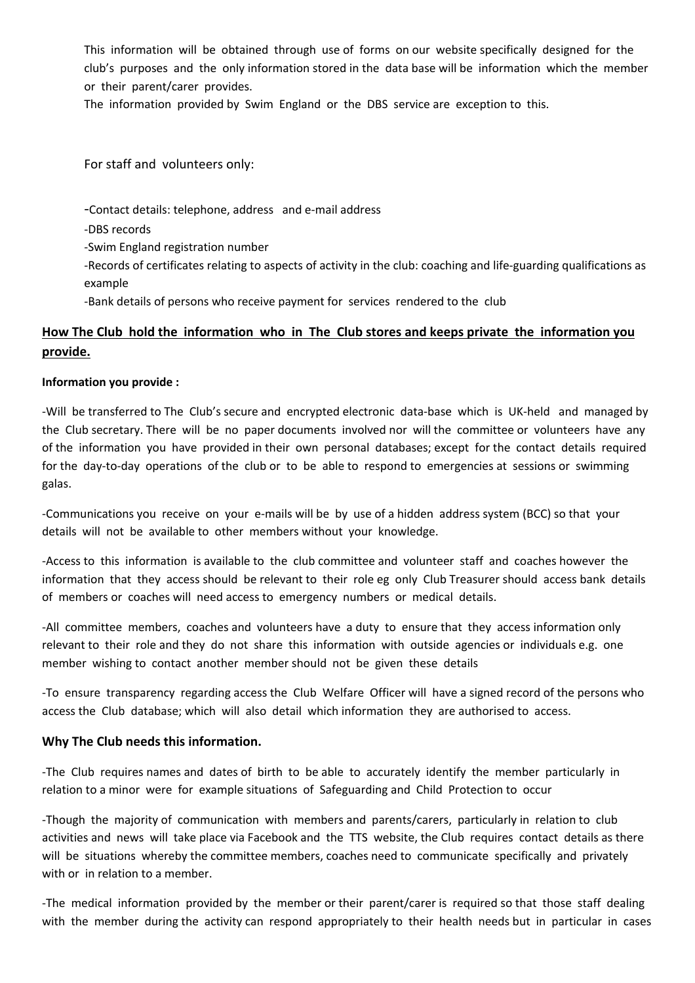This information will be obtained through use of forms on our website specifically designed for the club's purposes and the only information stored in the data base will be information which the member or their parent/carer provides.

The information provided by Swim England or the DBS service are exception to this.

For staff and volunteers only:

-Contact details: telephone, address and e-mail address

-DBS records

-Swim England registration number

-Records of certificates relating to aspects of activity in the club: coaching and life-guarding qualifications as example

-Bank details of persons who receive payment for services rendered to the club

# **How The Club hold the information who in The Club stores and keeps private the information you provide.**

### **Information you provide :**

-Will be transferred to The Club's secure and encrypted electronic data-base which is UK-held and managed by the Club secretary. There will be no paper documents involved nor will the committee or volunteers have any of the information you have provided in their own personal databases; except for the contact details required for the day-to-day operations of the club or to be able to respond to emergencies at sessions or swimming galas.

-Communications you receive on your e-mails will be by use of a hidden address system (BCC) so that your details will not be available to other members without your knowledge.

-Access to this information is available to the club committee and volunteer staff and coaches however the information that they access should be relevant to their role eg only Club Treasurer should access bank details of members or coaches will need access to emergency numbers or medical details.

-All committee members, coaches and volunteers have a duty to ensure that they access information only relevant to their role and they do not share this information with outside agencies or individuals e.g. one member wishing to contact another member should not be given these details

-To ensure transparency regarding access the Club Welfare Officer will have a signed record of the persons who access the Club database; which will also detail which information they are authorised to access.

### **Why The Club needs this information.**

-The Club requires names and dates of birth to be able to accurately identify the member particularly in relation to a minor were for example situations of Safeguarding and Child Protection to occur

-Though the majority of communication with members and parents/carers, particularly in relation to club activities and news will take place via Facebook and the TTS website, the Club requires contact details as there will be situations whereby the committee members, coaches need to communicate specifically and privately with or in relation to a member.

-The medical information provided by the member or their parent/carer is required so that those staff dealing with the member during the activity can respond appropriately to their health needs but in particular in cases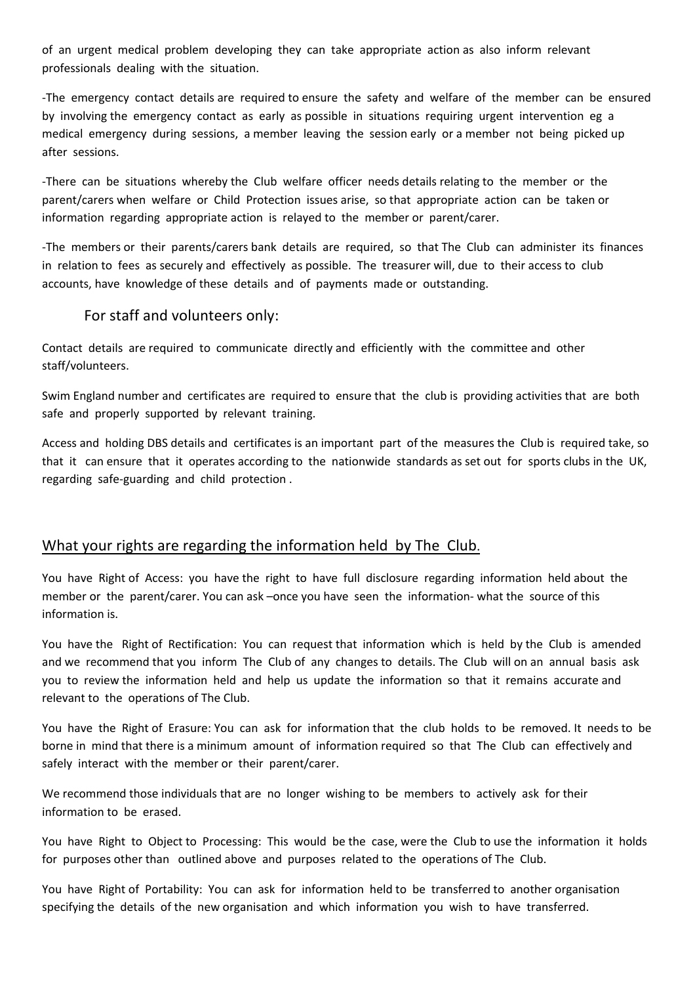of an urgent medical problem developing they can take appropriate action as also inform relevant professionals dealing with the situation.

-The emergency contact details are required to ensure the safety and welfare of the member can be ensured by involving the emergency contact as early as possible in situations requiring urgent intervention eg a medical emergency during sessions, a member leaving the session early or a member not being picked up after sessions.

-There can be situations whereby the Club welfare officer needs details relating to the member or the parent/carers when welfare or Child Protection issues arise, so that appropriate action can be taken or information regarding appropriate action is relayed to the member or parent/carer.

-The members or their parents/carers bank details are required, so that The Club can administer its finances in relation to fees as securely and effectively as possible. The treasurer will, due to their access to club accounts, have knowledge of these details and of payments made or outstanding.

## For staff and volunteers only:

Contact details are required to communicate directly and efficiently with the committee and other staff/volunteers.

Swim England number and certificates are required to ensure that the club is providing activities that are both safe and properly supported by relevant training.

Access and holding DBS details and certificates is an important part of the measures the Club is required take, so that it can ensure that it operates according to the nationwide standards as set out for sports clubs in the UK, regarding safe-guarding and child protection .

# What your rights are regarding the information held by The Club.

You have Right of Access: you have the right to have full disclosure regarding information held about the member or the parent/carer. You can ask –once you have seen the information- what the source of this information is.

You have the Right of Rectification: You can request that information which is held by the Club is amended and we recommend that you inform The Club of any changes to details. The Club will on an annual basis ask you to review the information held and help us update the information so that it remains accurate and relevant to the operations of The Club.

You have the Right of Erasure: You can ask for information that the club holds to be removed. It needs to be borne in mind that there is a minimum amount of information required so that The Club can effectively and safely interact with the member or their parent/carer.

We recommend those individuals that are no longer wishing to be members to actively ask for their information to be erased.

You have Right to Object to Processing: This would be the case, were the Club to use the information it holds for purposes other than outlined above and purposes related to the operations of The Club.

You have Right of Portability: You can ask for information held to be transferred to another organisation specifying the details of the new organisation and which information you wish to have transferred.